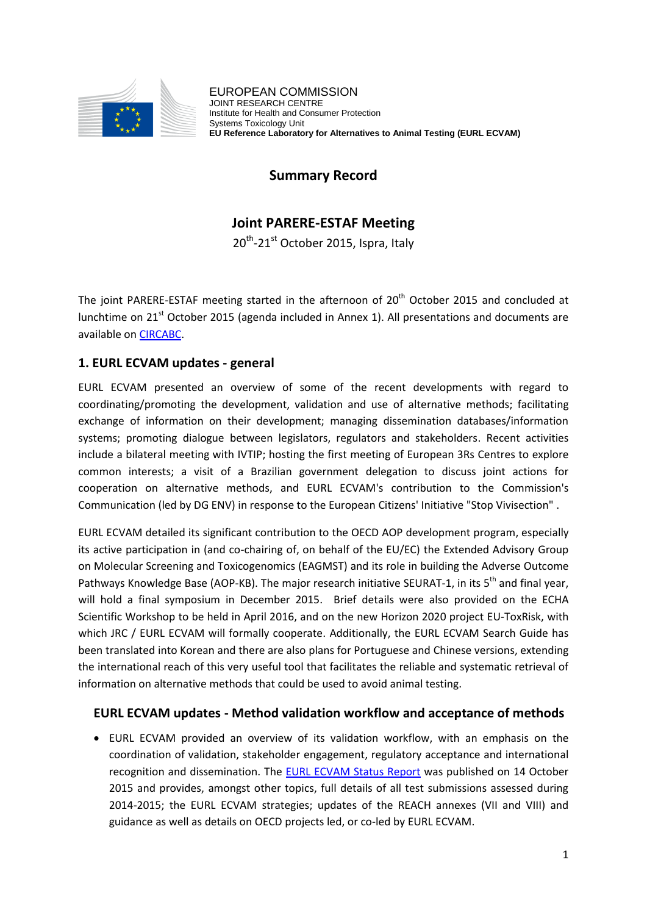

EUROPEAN COMMISSION JOINT RESEARCH CENTRE Institute for Health and Consumer Protection Systems Toxicology Unit **EU Reference Laboratory for Alternatives to Animal Testing (EURL ECVAM)**

## **Summary Record**

## **Joint PARERE-ESTAF Meeting**

20<sup>th</sup>-21<sup>st</sup> October 2015, Ispra, Italy

The joint PARERE-ESTAF meeting started in the afternoon of 20<sup>th</sup> October 2015 and concluded at lunchtime on 21<sup>st</sup> October 2015 (agenda included in Annex 1). All presentations and documents are available on [CIRCABC.](https://circabc.europa.eu/)

#### **1. EURL ECVAM updates - general**

EURL ECVAM presented an overview of some of the recent developments with regard to coordinating/promoting the development, validation and use of alternative methods; facilitating exchange of information on their development; managing dissemination databases/information systems; promoting dialogue between legislators, regulators and stakeholders. Recent activities include a bilateral meeting with IVTIP; hosting the first meeting of European 3Rs Centres to explore common interests; a visit of a Brazilian government delegation to discuss joint actions for cooperation on alternative methods, and EURL ECVAM's contribution to the Commission's Communication (led by DG ENV) in response to the European Citizens' Initiative "Stop Vivisection" .

EURL ECVAM detailed its significant contribution to the OECD AOP development program, especially its active participation in (and co-chairing of, on behalf of the EU/EC) the Extended Advisory Group on Molecular Screening and Toxicogenomics (EAGMST) and its role in building the Adverse Outcome Pathways Knowledge Base (AOP-KB). The major research initiative SEURAT-1, in its 5<sup>th</sup> and final year, will hold a final symposium in December 2015. Brief details were also provided on the ECHA Scientific Workshop to be held in April 2016, and on the new Horizon 2020 project EU-ToxRisk, with which JRC / EURL ECVAM will formally cooperate. Additionally, the EURL ECVAM Search Guide has been translated into Korean and there are also plans for Portuguese and Chinese versions, extending the international reach of this very useful tool that facilitates the reliable and systematic retrieval of information on alternative methods that could be used to avoid animal testing.

#### **EURL ECVAM updates - Method validation workflow and acceptance of methods**

 EURL ECVAM provided an overview of its validation workflow, with an emphasis on the coordination of validation, stakeholder engagement, regulatory acceptance and international recognition and dissemination. The [EURL ECVAM Status Report](https://eurl-ecvam.jrc.ec.europa.eu/eurl-ecvam-status-reports/eurl-ecvam-status-report-2015) was published on 14 October 2015 and provides, amongst other topics, full details of all test submissions assessed during 2014-2015; the EURL ECVAM strategies; updates of the REACH annexes (VII and VIII) and guidance as well as details on OECD projects led, or co-led by EURL ECVAM.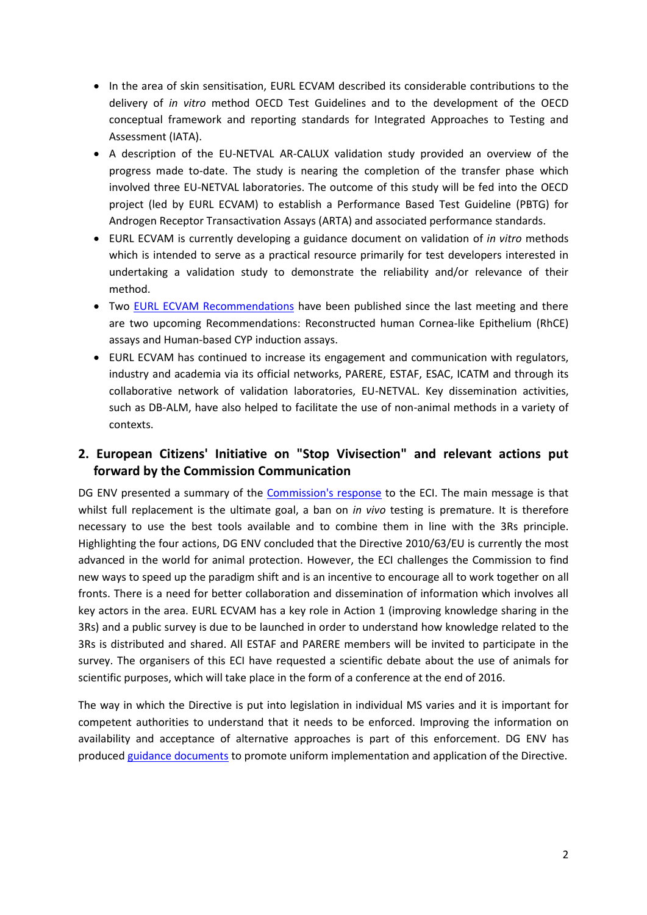- In the area of skin sensitisation, EURL ECVAM described its considerable contributions to the delivery of *in vitro* method OECD Test Guidelines and to the development of the OECD conceptual framework and reporting standards for Integrated Approaches to Testing and Assessment (IATA).
- A description of the EU-NETVAL AR-CALUX validation study provided an overview of the progress made to-date. The study is nearing the completion of the transfer phase which involved three EU-NETVAL laboratories. The outcome of this study will be fed into the OECD project (led by EURL ECVAM) to establish a Performance Based Test Guideline (PBTG) for Androgen Receptor Transactivation Assays (ARTA) and associated performance standards.
- EURL ECVAM is currently developing a guidance document on validation of *in vitro* methods which is intended to serve as a practical resource primarily for test developers interested in undertaking a validation study to demonstrate the reliability and/or relevance of their method.
- Two [EURL ECVAM Recommendations](https://eurl-ecvam.jrc.ec.europa.eu/eurl-ecvam-recommendations) have been published since the last meeting and there are two upcoming Recommendations: Reconstructed human Cornea-like Epithelium (RhCE) assays and Human-based CYP induction assays.
- EURL ECVAM has continued to increase its engagement and communication with regulators, industry and academia via its official networks, PARERE, ESTAF, ESAC, ICATM and through its collaborative network of validation laboratories, EU-NETVAL. Key dissemination activities, such as DB-ALM, have also helped to facilitate the use of non-animal methods in a variety of contexts.

## **2. European Citizens' Initiative on "Stop Vivisection" and relevant actions put forward by the Commission Communication**

DG ENV presented a summary of the [Commission's response](http://ec.europa.eu/transparency/regdoc/rep/3/2015/EN/3-2015-3773-EN-F1-1.PDF) to the ECI. The main message is that whilst full replacement is the ultimate goal, a ban on *in vivo* testing is premature. It is therefore necessary to use the best tools available and to combine them in line with the 3Rs principle. Highlighting the four actions, DG ENV concluded that the Directive 2010/63/EU is currently the most advanced in the world for animal protection. However, the ECI challenges the Commission to find new ways to speed up the paradigm shift and is an incentive to encourage all to work together on all fronts. There is a need for better collaboration and dissemination of information which involves all key actors in the area. EURL ECVAM has a key role in Action 1 (improving knowledge sharing in the 3Rs) and a public survey is due to be launched in order to understand how knowledge related to the 3Rs is distributed and shared. All ESTAF and PARERE members will be invited to participate in the survey. The organisers of this ECI have requested a scientific debate about the use of animals for scientific purposes, which will take place in the form of a conference at the end of 2016.

The way in which the Directive is put into legislation in individual MS varies and it is important for competent authorities to understand that it needs to be enforced. Improving the information on availability and acceptance of alternative approaches is part of this enforcement. DG ENV has produced [guidance documents](http://ec.europa.eu/environment/chemicals/lab_animals/interpretation_en.htm) to promote uniform implementation and application of the Directive.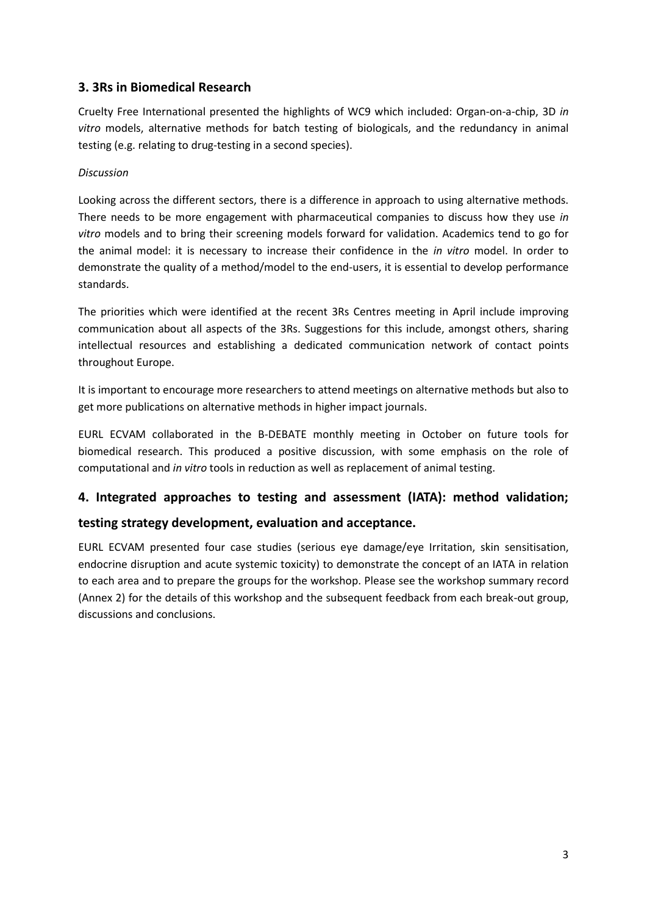## **3. 3Rs in Biomedical Research**

Cruelty Free International presented the highlights of WC9 which included: Organ-on-a-chip, 3D *in vitro* models, alternative methods for batch testing of biologicals, and the redundancy in animal testing (e.g. relating to drug-testing in a second species).

#### *Discussion*

Looking across the different sectors, there is a difference in approach to using alternative methods. There needs to be more engagement with pharmaceutical companies to discuss how they use *in vitro* models and to bring their screening models forward for validation. Academics tend to go for the animal model: it is necessary to increase their confidence in the *in vitro* model. In order to demonstrate the quality of a method/model to the end-users, it is essential to develop performance standards.

The priorities which were identified at the recent 3Rs Centres meeting in April include improving communication about all aspects of the 3Rs. Suggestions for this include, amongst others, sharing intellectual resources and establishing a dedicated communication network of contact points throughout Europe.

It is important to encourage more researchers to attend meetings on alternative methods but also to get more publications on alternative methods in higher impact journals.

EURL ECVAM collaborated in the B-DEBATE monthly meeting in October on future tools for biomedical research. This produced a positive discussion, with some emphasis on the role of computational and *in vitro* tools in reduction as well as replacement of animal testing.

## **4. Integrated approaches to testing and assessment (IATA): method validation;**

## **testing strategy development, evaluation and acceptance.**

EURL ECVAM presented four case studies (serious eye damage/eye Irritation, skin sensitisation, endocrine disruption and acute systemic toxicity) to demonstrate the concept of an IATA in relation to each area and to prepare the groups for the workshop. Please see the workshop summary record (Annex 2) for the details of this workshop and the subsequent feedback from each break-out group, discussions and conclusions.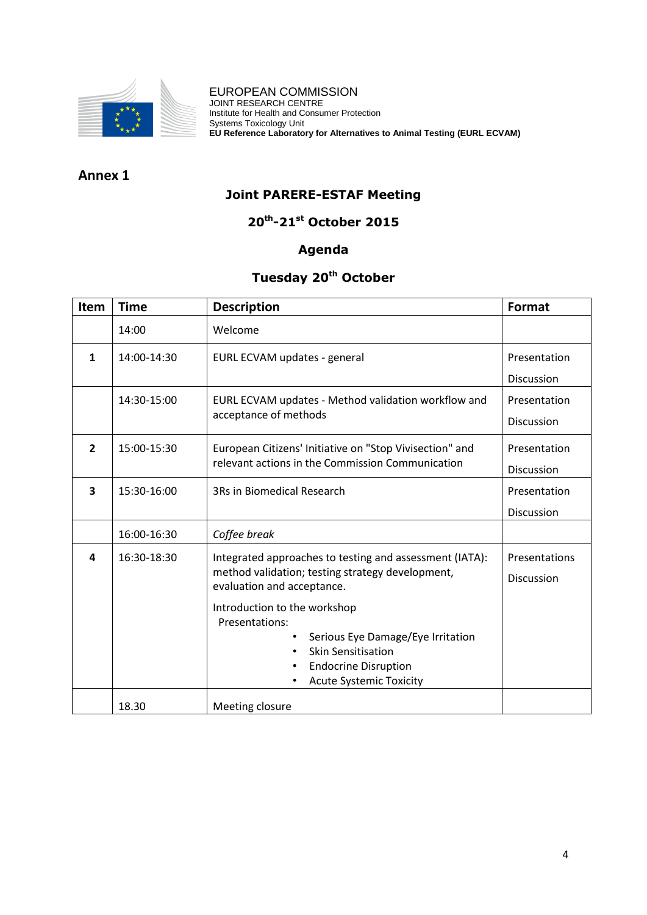

EUROPEAN COMMISSION JOINT RESEARCH CENTRE Institute for Health and Consumer Protection Systems Toxicology Unit **EU Reference Laboratory for Alternatives to Animal Testing (EURL ECVAM)**

**Annex 1**

## **Joint PARERE-ESTAF Meeting**

## **20th -21st October 2015**

## **Agenda**

## **Tuesday 20th October**

| Item                    | <b>Time</b> | <b>Description</b>                                                                                                                                                                | <b>Format</b>                      |
|-------------------------|-------------|-----------------------------------------------------------------------------------------------------------------------------------------------------------------------------------|------------------------------------|
|                         | 14:00       | Welcome                                                                                                                                                                           |                                    |
| $\mathbf{1}$            | 14:00-14:30 | EURL ECVAM updates - general                                                                                                                                                      | Presentation<br><b>Discussion</b>  |
|                         | 14:30-15:00 | EURL ECVAM updates - Method validation workflow and<br>acceptance of methods                                                                                                      | Presentation<br>Discussion         |
| $\overline{2}$          | 15:00-15:30 | European Citizens' Initiative on "Stop Vivisection" and<br>relevant actions in the Commission Communication                                                                       | Presentation<br>Discussion         |
| $\overline{\mathbf{3}}$ | 15:30-16:00 | 3Rs in Biomedical Research                                                                                                                                                        | Presentation<br><b>Discussion</b>  |
|                         | 16:00-16:30 | Coffee break                                                                                                                                                                      |                                    |
| 4                       | 16:30-18:30 | Integrated approaches to testing and assessment (IATA):<br>method validation; testing strategy development,<br>evaluation and acceptance.                                         | Presentations<br><b>Discussion</b> |
|                         |             | Introduction to the workshop<br>Presentations:<br>Serious Eye Damage/Eye Irritation<br><b>Skin Sensitisation</b><br><b>Endocrine Disruption</b><br><b>Acute Systemic Toxicity</b> |                                    |
|                         | 18.30       | Meeting closure                                                                                                                                                                   |                                    |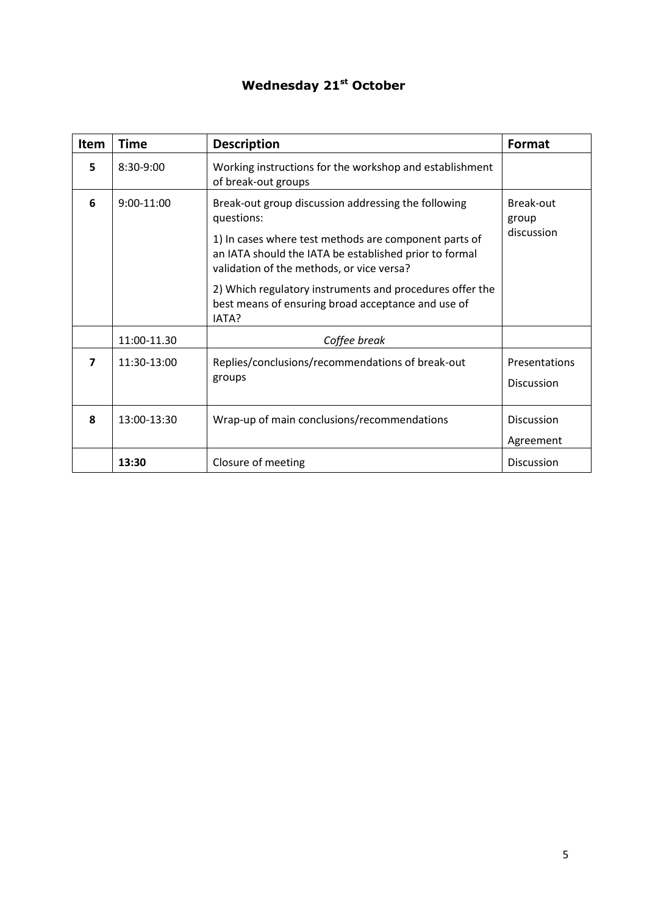# **Wednesday 21st October**

| Item                    | <b>Time</b>  | <b>Description</b>                                                                                                                                                                                                                | Format                             |
|-------------------------|--------------|-----------------------------------------------------------------------------------------------------------------------------------------------------------------------------------------------------------------------------------|------------------------------------|
| 5                       | 8:30-9:00    | Working instructions for the workshop and establishment<br>of break-out groups                                                                                                                                                    |                                    |
| 6                       | $9:00-11:00$ | Break-out group discussion addressing the following<br>questions:<br>1) In cases where test methods are component parts of<br>an IATA should the IATA be established prior to formal<br>validation of the methods, or vice versa? | Break-out<br>group<br>discussion   |
|                         |              | 2) Which regulatory instruments and procedures offer the<br>best means of ensuring broad acceptance and use of<br>IATA?                                                                                                           |                                    |
|                         | 11:00-11.30  | Coffee break                                                                                                                                                                                                                      |                                    |
| $\overline{\mathbf{z}}$ | 11:30-13:00  | Replies/conclusions/recommendations of break-out<br>groups                                                                                                                                                                        | Presentations<br><b>Discussion</b> |
| 8                       | 13:00-13:30  | Wrap-up of main conclusions/recommendations                                                                                                                                                                                       | <b>Discussion</b><br>Agreement     |
|                         | 13:30        | Closure of meeting                                                                                                                                                                                                                | Discussion                         |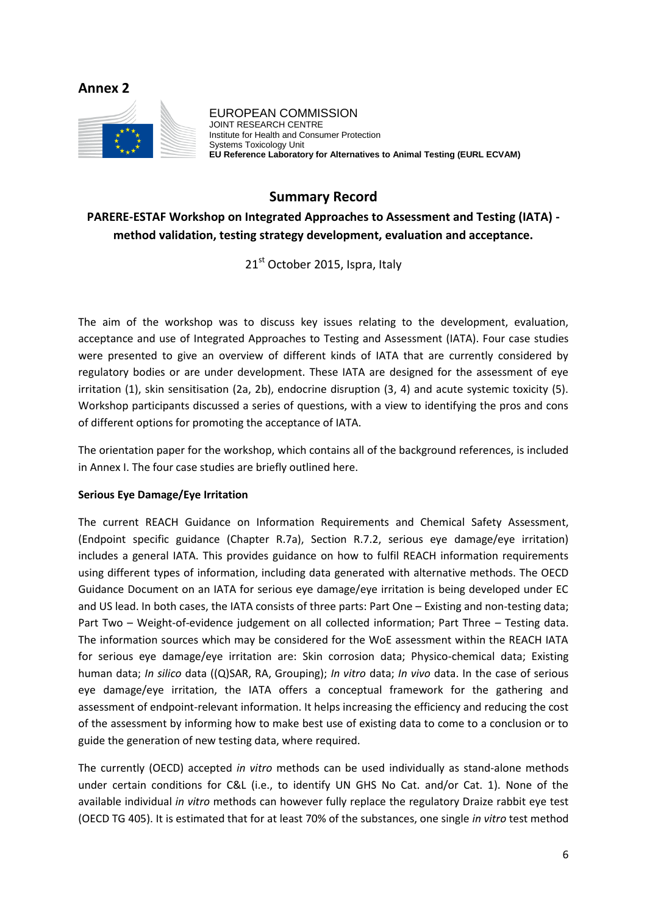## **Annex 2**



EUROPEAN COMMISSION JOINT RESEARCH CENTRE Institute for Health and Consumer Protection Systems Toxicology Unit **EU Reference Laboratory for Alternatives to Animal Testing (EURL ECVAM)**

## **Summary Record**

**PARERE-ESTAF Workshop on Integrated Approaches to Assessment and Testing (IATA) method validation, testing strategy development, evaluation and acceptance.**

21<sup>st</sup> October 2015, Ispra, Italy

The aim of the workshop was to discuss key issues relating to the development, evaluation, acceptance and use of Integrated Approaches to Testing and Assessment (IATA). Four case studies were presented to give an overview of different kinds of IATA that are currently considered by regulatory bodies or are under development. These IATA are designed for the assessment of eye irritation (1), skin sensitisation (2a, 2b), endocrine disruption (3, 4) and acute systemic toxicity (5). Workshop participants discussed a series of questions, with a view to identifying the pros and cons of different options for promoting the acceptance of IATA.

The orientation paper for the workshop, which contains all of the background references, is included in Annex I. The four case studies are briefly outlined here.

#### **Serious Eye Damage/Eye Irritation**

The current REACH Guidance on Information Requirements and Chemical Safety Assessment, (Endpoint specific guidance (Chapter R.7a), Section R.7.2, serious eye damage/eye irritation) includes a general IATA. This provides guidance on how to fulfil REACH information requirements using different types of information, including data generated with alternative methods. The OECD Guidance Document on an IATA for serious eye damage/eye irritation is being developed under EC and US lead. In both cases, the IATA consists of three parts: Part One – Existing and non-testing data; Part Two – Weight-of-evidence judgement on all collected information; Part Three – Testing data. The information sources which may be considered for the WoE assessment within the REACH IATA for serious eye damage/eye irritation are: Skin corrosion data; Physico-chemical data; Existing human data; *In silico* data ((Q)SAR, RA, Grouping); *In vitro* data; *In vivo* data. In the case of serious eye damage/eye irritation, the IATA offers a conceptual framework for the gathering and assessment of endpoint-relevant information. It helps increasing the efficiency and reducing the cost of the assessment by informing how to make best use of existing data to come to a conclusion or to guide the generation of new testing data, where required.

The currently (OECD) accepted *in vitro* methods can be used individually as stand-alone methods under certain conditions for C&L (i.e., to identify UN GHS No Cat. and/or Cat. 1). None of the available individual *in vitro* methods can however fully replace the regulatory Draize rabbit eye test (OECD TG 405). It is estimated that for at least 70% of the substances, one single *in vitro* test method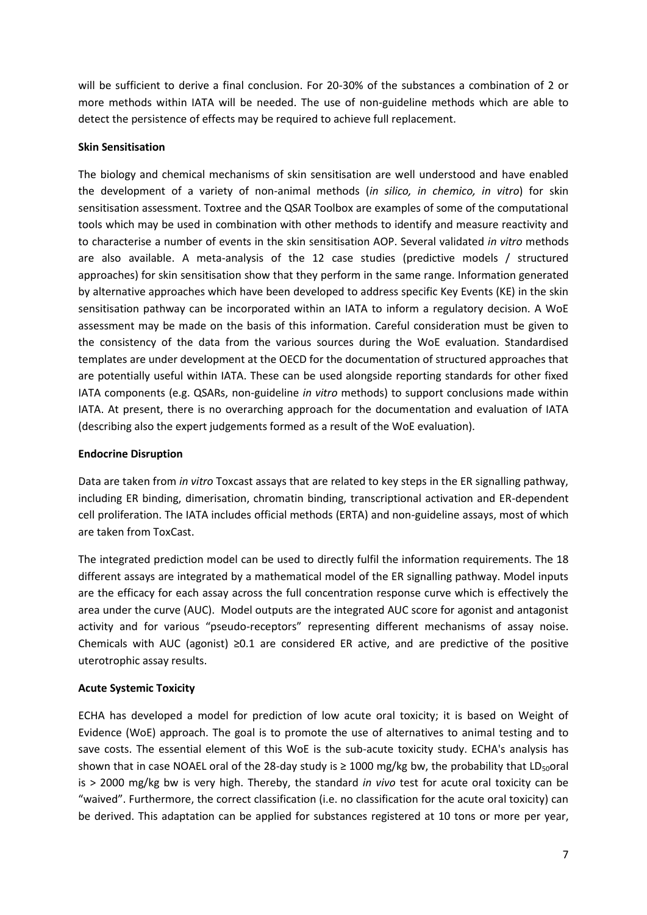will be sufficient to derive a final conclusion. For 20-30% of the substances a combination of 2 or more methods within IATA will be needed. The use of non-guideline methods which are able to detect the persistence of effects may be required to achieve full replacement.

#### **Skin Sensitisation**

The biology and chemical mechanisms of skin sensitisation are well understood and have enabled the development of a variety of non-animal methods (*in silico, in chemico, in vitro*) for skin sensitisation assessment. Toxtree and the QSAR Toolbox are examples of some of the computational tools which may be used in combination with other methods to identify and measure reactivity and to characterise a number of events in the skin sensitisation AOP. Several validated *in vitro* methods are also available. A meta-analysis of the 12 case studies (predictive models / structured approaches) for skin sensitisation show that they perform in the same range. Information generated by alternative approaches which have been developed to address specific Key Events (KE) in the skin sensitisation pathway can be incorporated within an IATA to inform a regulatory decision. A WoE assessment may be made on the basis of this information. Careful consideration must be given to the consistency of the data from the various sources during the WoE evaluation. Standardised templates are under development at the OECD for the documentation of structured approaches that are potentially useful within IATA. These can be used alongside reporting standards for other fixed IATA components (e.g. QSARs, non-guideline *in vitro* methods) to support conclusions made within IATA. At present, there is no overarching approach for the documentation and evaluation of IATA (describing also the expert judgements formed as a result of the WoE evaluation).

#### **Endocrine Disruption**

Data are taken from *in vitro* Toxcast assays that are related to key steps in the ER signalling pathway, including ER binding, dimerisation, chromatin binding, transcriptional activation and ER-dependent cell proliferation. The IATA includes official methods (ERTA) and non-guideline assays, most of which are taken from ToxCast.

The integrated prediction model can be used to directly fulfil the information requirements. The 18 different assays are integrated by a mathematical model of the ER signalling pathway. Model inputs are the efficacy for each assay across the full concentration response curve which is effectively the area under the curve (AUC). Model outputs are the integrated AUC score for agonist and antagonist activity and for various "pseudo-receptors" representing different mechanisms of assay noise. Chemicals with AUC (agonist)  $\geq 0.1$  are considered ER active, and are predictive of the positive uterotrophic assay results.

#### **Acute Systemic Toxicity**

ECHA has developed a model for prediction of low acute oral toxicity; it is based on Weight of Evidence (WoE) approach. The goal is to promote the use of alternatives to animal testing and to save costs. The essential element of this WoE is the sub-acute toxicity study. ECHA's analysis has shown that in case NOAEL oral of the 28-day study is  $\geq$  1000 mg/kg bw, the probability that LD<sub>50</sub>oral is > 2000 mg/kg bw is very high. Thereby, the standard *in vivo* test for acute oral toxicity can be "waived". Furthermore, the correct classification (i.e. no classification for the acute oral toxicity) can be derived. This adaptation can be applied for substances registered at 10 tons or more per year,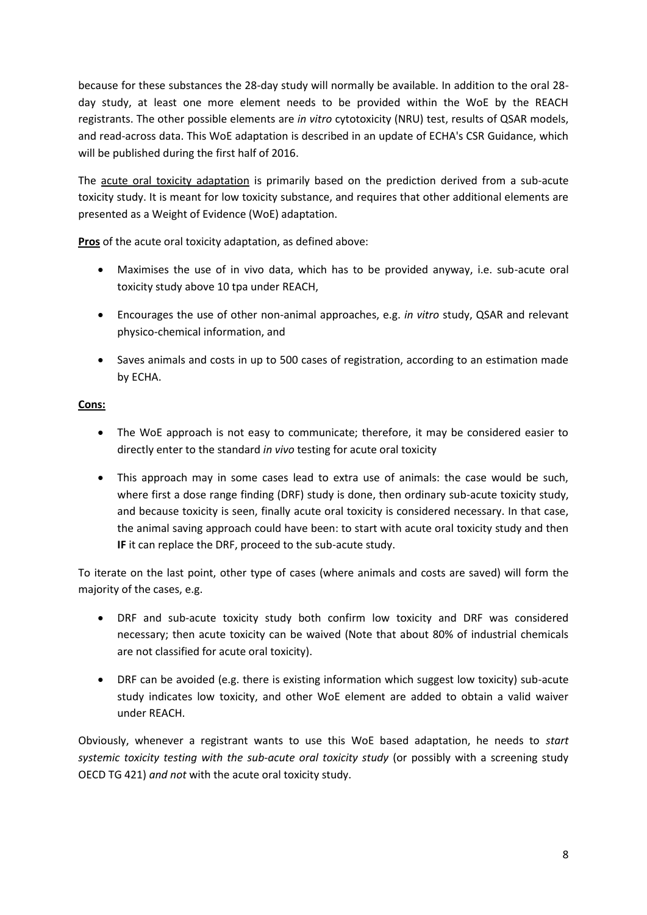because for these substances the 28-day study will normally be available. In addition to the oral 28 day study, at least one more element needs to be provided within the WoE by the REACH registrants. The other possible elements are *in vitro* cytotoxicity (NRU) test, results of QSAR models, and read-across data. This WoE adaptation is described in an update of ECHA's CSR Guidance, which will be published during the first half of 2016.

The acute oral toxicity adaptation is primarily based on the prediction derived from a sub-acute toxicity study. It is meant for low toxicity substance, and requires that other additional elements are presented as a Weight of Evidence (WoE) adaptation.

**Pros** of the acute oral toxicity adaptation, as defined above:

- Maximises the use of in vivo data, which has to be provided anyway, i.e. sub-acute oral toxicity study above 10 tpa under REACH,
- Encourages the use of other non-animal approaches, e.g. *in vitro* study, QSAR and relevant physico-chemical information, and
- Saves animals and costs in up to 500 cases of registration, according to an estimation made by ECHA.

#### **Cons:**

- The WoE approach is not easy to communicate; therefore, it may be considered easier to directly enter to the standard *in vivo* testing for acute oral toxicity
- This approach may in some cases lead to extra use of animals: the case would be such, where first a dose range finding (DRF) study is done, then ordinary sub-acute toxicity study, and because toxicity is seen, finally acute oral toxicity is considered necessary. In that case, the animal saving approach could have been: to start with acute oral toxicity study and then **IF** it can replace the DRF, proceed to the sub-acute study.

To iterate on the last point, other type of cases (where animals and costs are saved) will form the majority of the cases, e.g.

- DRF and sub-acute toxicity study both confirm low toxicity and DRF was considered necessary; then acute toxicity can be waived (Note that about 80% of industrial chemicals are not classified for acute oral toxicity).
- DRF can be avoided (e.g. there is existing information which suggest low toxicity) sub-acute study indicates low toxicity, and other WoE element are added to obtain a valid waiver under REACH.

Obviously, whenever a registrant wants to use this WoE based adaptation, he needs to *start systemic toxicity testing with the sub-acute oral toxicity study* (or possibly with a screening study OECD TG 421) *and not* with the acute oral toxicity study.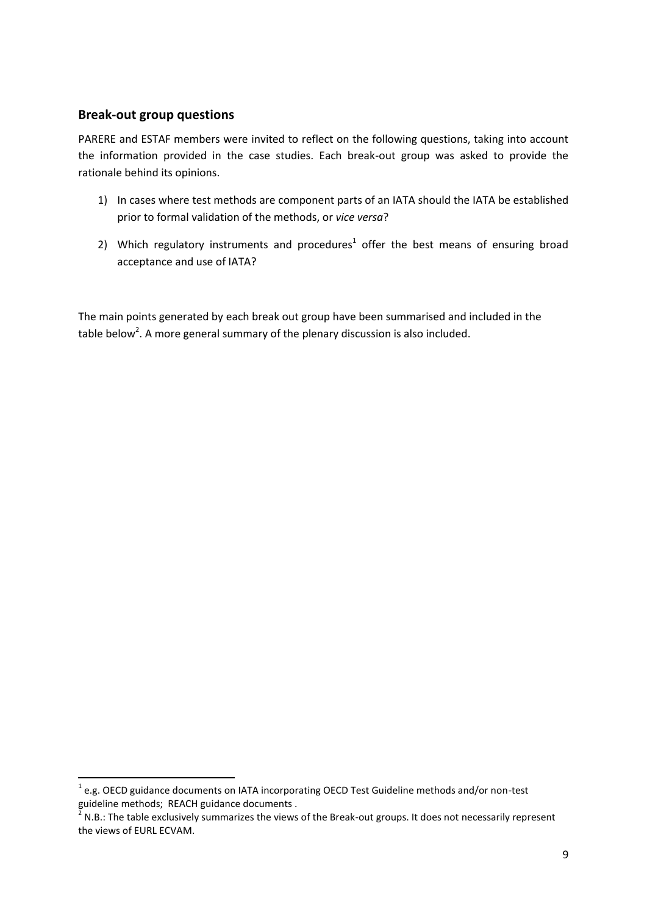#### **Break-out group questions**

**.** 

PARERE and ESTAF members were invited to reflect on the following questions, taking into account the information provided in the case studies. Each break-out group was asked to provide the rationale behind its opinions.

- 1) In cases where test methods are component parts of an IATA should the IATA be established prior to formal validation of the methods, or *vice versa*?
- 2) Which regulatory instruments and procedures<sup>1</sup> offer the best means of ensuring broad acceptance and use of IATA?

The main points generated by each break out group have been summarised and included in the table below<sup>2</sup>. A more general summary of the plenary discussion is also included.

 $^{1}$  e.g. OECD guidance documents on IATA incorporating OECD Test Guideline methods and/or non-test guideline methods; REACH guidance documents .

<sup>2</sup> N.B.: The table exclusively summarizes the views of the Break-out groups. It does not necessarily represent the views of EURL ECVAM.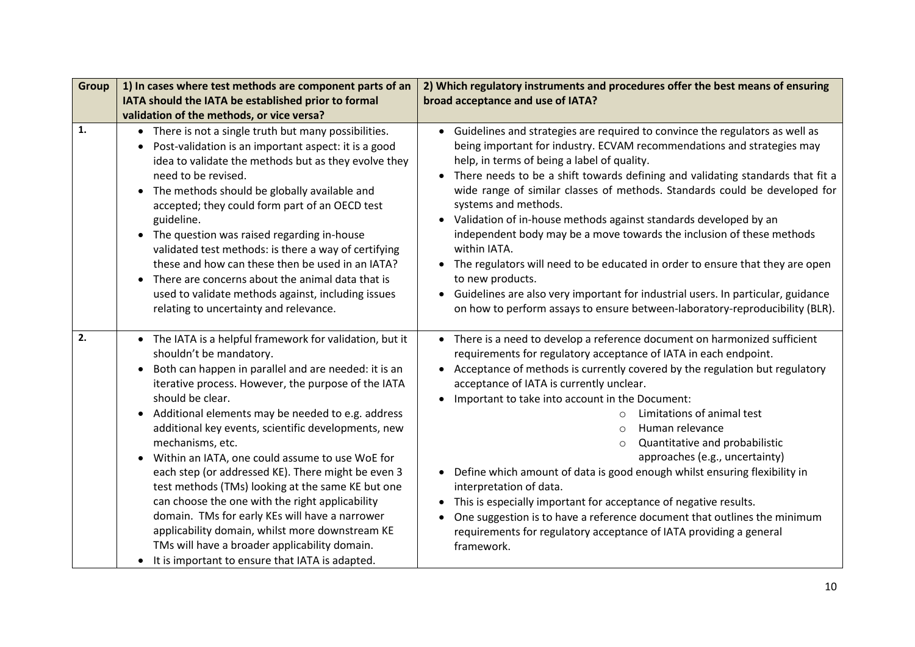| <b>Group</b> | 1) In cases where test methods are component parts of an<br>IATA should the IATA be established prior to formal                                                                                                                                                                                                                                                                                                                                                                                                                                                                                                                                                                                                                                                                                            | 2) Which regulatory instruments and procedures offer the best means of ensuring<br>broad acceptance and use of IATA?                                                                                                                                                                                                                                                                                                                                                                                                                                                                                                                                                                                                                                                                                                                  |
|--------------|------------------------------------------------------------------------------------------------------------------------------------------------------------------------------------------------------------------------------------------------------------------------------------------------------------------------------------------------------------------------------------------------------------------------------------------------------------------------------------------------------------------------------------------------------------------------------------------------------------------------------------------------------------------------------------------------------------------------------------------------------------------------------------------------------------|---------------------------------------------------------------------------------------------------------------------------------------------------------------------------------------------------------------------------------------------------------------------------------------------------------------------------------------------------------------------------------------------------------------------------------------------------------------------------------------------------------------------------------------------------------------------------------------------------------------------------------------------------------------------------------------------------------------------------------------------------------------------------------------------------------------------------------------|
|              | validation of the methods, or vice versa?                                                                                                                                                                                                                                                                                                                                                                                                                                                                                                                                                                                                                                                                                                                                                                  |                                                                                                                                                                                                                                                                                                                                                                                                                                                                                                                                                                                                                                                                                                                                                                                                                                       |
| 1.           | • There is not a single truth but many possibilities.<br>Post-validation is an important aspect: it is a good<br>idea to validate the methods but as they evolve they<br>need to be revised.<br>The methods should be globally available and<br>accepted; they could form part of an OECD test<br>guideline.<br>The question was raised regarding in-house<br>validated test methods: is there a way of certifying<br>these and how can these then be used in an IATA?<br>There are concerns about the animal data that is<br>used to validate methods against, including issues<br>relating to uncertainty and relevance.                                                                                                                                                                                 | Guidelines and strategies are required to convince the regulators as well as<br>being important for industry. ECVAM recommendations and strategies may<br>help, in terms of being a label of quality.<br>There needs to be a shift towards defining and validating standards that fit a<br>wide range of similar classes of methods. Standards could be developed for<br>systems and methods.<br>Validation of in-house methods against standards developed by an<br>independent body may be a move towards the inclusion of these methods<br>within IATA.<br>• The regulators will need to be educated in order to ensure that they are open<br>to new products.<br>Guidelines are also very important for industrial users. In particular, guidance<br>on how to perform assays to ensure between-laboratory-reproducibility (BLR). |
| 2.           | • The IATA is a helpful framework for validation, but it<br>shouldn't be mandatory.<br>Both can happen in parallel and are needed: it is an<br>$\bullet$<br>iterative process. However, the purpose of the IATA<br>should be clear.<br>Additional elements may be needed to e.g. address<br>additional key events, scientific developments, new<br>mechanisms, etc.<br>Within an IATA, one could assume to use WoE for<br>each step (or addressed KE). There might be even 3<br>test methods (TMs) looking at the same KE but one<br>can choose the one with the right applicability<br>domain. TMs for early KEs will have a narrower<br>applicability domain, whilst more downstream KE<br>TMs will have a broader applicability domain.<br>It is important to ensure that IATA is adapted.<br>$\bullet$ | • There is a need to develop a reference document on harmonized sufficient<br>requirements for regulatory acceptance of IATA in each endpoint.<br>Acceptance of methods is currently covered by the regulation but regulatory<br>acceptance of IATA is currently unclear.<br>Important to take into account in the Document:<br>Limitations of animal test<br>$\circ$<br>Human relevance<br>$\circ$<br>Quantitative and probabilistic<br>approaches (e.g., uncertainty)<br>Define which amount of data is good enough whilst ensuring flexibility in<br>interpretation of data.<br>This is especially important for acceptance of negative results.<br>One suggestion is to have a reference document that outlines the minimum<br>requirements for regulatory acceptance of IATA providing a general<br>framework.                   |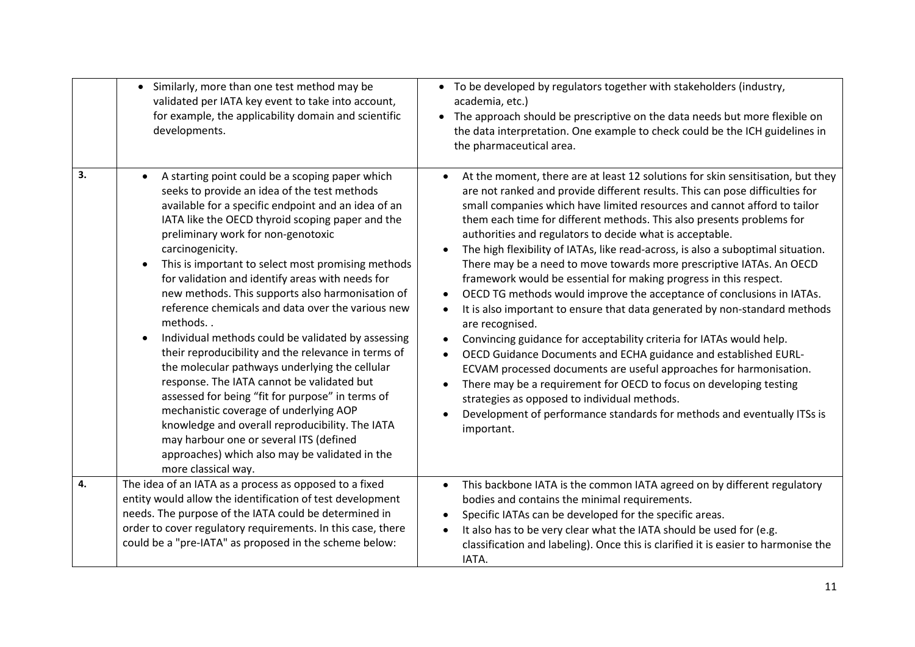|    | Similarly, more than one test method may be<br>$\bullet$<br>validated per IATA key event to take into account,<br>for example, the applicability domain and scientific<br>developments.                                                                                                                                                                                                                                                                                                                                                                                                                                                                                                                                                                                                                                                                                                                                                                                              | • To be developed by regulators together with stakeholders (industry,<br>academia, etc.)<br>The approach should be prescriptive on the data needs but more flexible on<br>the data interpretation. One example to check could be the ICH guidelines in<br>the pharmaceutical area.                                                                                                                                                                                                                                                                                                                                                                                                                                                                                                                                                                                                                                                                                                                                                                                                                                                                                                                                                       |
|----|--------------------------------------------------------------------------------------------------------------------------------------------------------------------------------------------------------------------------------------------------------------------------------------------------------------------------------------------------------------------------------------------------------------------------------------------------------------------------------------------------------------------------------------------------------------------------------------------------------------------------------------------------------------------------------------------------------------------------------------------------------------------------------------------------------------------------------------------------------------------------------------------------------------------------------------------------------------------------------------|------------------------------------------------------------------------------------------------------------------------------------------------------------------------------------------------------------------------------------------------------------------------------------------------------------------------------------------------------------------------------------------------------------------------------------------------------------------------------------------------------------------------------------------------------------------------------------------------------------------------------------------------------------------------------------------------------------------------------------------------------------------------------------------------------------------------------------------------------------------------------------------------------------------------------------------------------------------------------------------------------------------------------------------------------------------------------------------------------------------------------------------------------------------------------------------------------------------------------------------|
| 3. | A starting point could be a scoping paper which<br>seeks to provide an idea of the test methods<br>available for a specific endpoint and an idea of an<br>IATA like the OECD thyroid scoping paper and the<br>preliminary work for non-genotoxic<br>carcinogenicity.<br>This is important to select most promising methods<br>for validation and identify areas with needs for<br>new methods. This supports also harmonisation of<br>reference chemicals and data over the various new<br>methods<br>Individual methods could be validated by assessing<br>their reproducibility and the relevance in terms of<br>the molecular pathways underlying the cellular<br>response. The IATA cannot be validated but<br>assessed for being "fit for purpose" in terms of<br>mechanistic coverage of underlying AOP<br>knowledge and overall reproducibility. The IATA<br>may harbour one or several ITS (defined<br>approaches) which also may be validated in the<br>more classical way. | At the moment, there are at least 12 solutions for skin sensitisation, but they<br>$\bullet$<br>are not ranked and provide different results. This can pose difficulties for<br>small companies which have limited resources and cannot afford to tailor<br>them each time for different methods. This also presents problems for<br>authorities and regulators to decide what is acceptable.<br>The high flexibility of IATAs, like read-across, is also a suboptimal situation.<br>There may be a need to move towards more prescriptive IATAs. An OECD<br>framework would be essential for making progress in this respect.<br>OECD TG methods would improve the acceptance of conclusions in IATAs.<br>It is also important to ensure that data generated by non-standard methods<br>are recognised.<br>Convincing guidance for acceptability criteria for IATAs would help.<br>OECD Guidance Documents and ECHA guidance and established EURL-<br>ECVAM processed documents are useful approaches for harmonisation.<br>There may be a requirement for OECD to focus on developing testing<br>strategies as opposed to individual methods.<br>Development of performance standards for methods and eventually ITSs is<br>important. |
| 4. | The idea of an IATA as a process as opposed to a fixed<br>entity would allow the identification of test development                                                                                                                                                                                                                                                                                                                                                                                                                                                                                                                                                                                                                                                                                                                                                                                                                                                                  | This backbone IATA is the common IATA agreed on by different regulatory<br>$\bullet$<br>bodies and contains the minimal requirements.                                                                                                                                                                                                                                                                                                                                                                                                                                                                                                                                                                                                                                                                                                                                                                                                                                                                                                                                                                                                                                                                                                    |
|    | needs. The purpose of the IATA could be determined in                                                                                                                                                                                                                                                                                                                                                                                                                                                                                                                                                                                                                                                                                                                                                                                                                                                                                                                                | Specific IATAs can be developed for the specific areas.                                                                                                                                                                                                                                                                                                                                                                                                                                                                                                                                                                                                                                                                                                                                                                                                                                                                                                                                                                                                                                                                                                                                                                                  |
|    | order to cover regulatory requirements. In this case, there                                                                                                                                                                                                                                                                                                                                                                                                                                                                                                                                                                                                                                                                                                                                                                                                                                                                                                                          | It also has to be very clear what the IATA should be used for (e.g.                                                                                                                                                                                                                                                                                                                                                                                                                                                                                                                                                                                                                                                                                                                                                                                                                                                                                                                                                                                                                                                                                                                                                                      |
|    | could be a "pre-IATA" as proposed in the scheme below:                                                                                                                                                                                                                                                                                                                                                                                                                                                                                                                                                                                                                                                                                                                                                                                                                                                                                                                               | classification and labeling). Once this is clarified it is easier to harmonise the<br>IATA.                                                                                                                                                                                                                                                                                                                                                                                                                                                                                                                                                                                                                                                                                                                                                                                                                                                                                                                                                                                                                                                                                                                                              |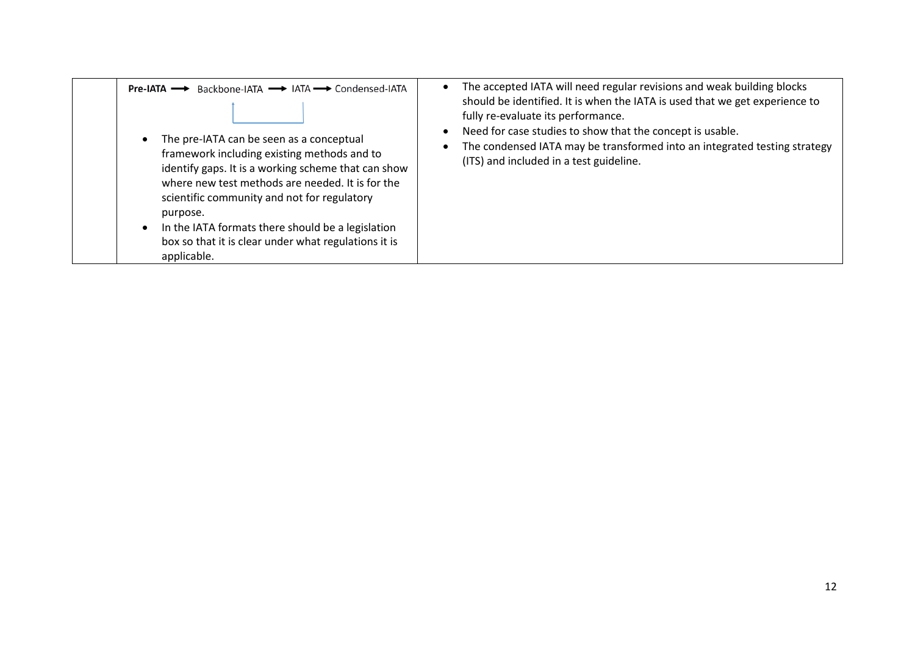| <b>Pre-IATA</b> $\rightarrow$ Backbone-IATA $\rightarrow$ IATA $\rightarrow$ Condensed-IATA<br>The pre-IATA can be seen as a conceptual<br>framework including existing methods and to<br>identify gaps. It is a working scheme that can show<br>where new test methods are needed. It is for the<br>scientific community and not for regulatory<br>purpose.<br>In the IATA formats there should be a legislation<br>box so that it is clear under what regulations it is<br>applicable. | The accepted IATA will need regular revisions and weak building blocks<br>should be identified. It is when the IATA is used that we get experience to<br>fully re-evaluate its performance.<br>Need for case studies to show that the concept is usable.<br>The condensed IATA may be transformed into an integrated testing strategy<br>(ITS) and included in a test guideline. |
|------------------------------------------------------------------------------------------------------------------------------------------------------------------------------------------------------------------------------------------------------------------------------------------------------------------------------------------------------------------------------------------------------------------------------------------------------------------------------------------|----------------------------------------------------------------------------------------------------------------------------------------------------------------------------------------------------------------------------------------------------------------------------------------------------------------------------------------------------------------------------------|
|------------------------------------------------------------------------------------------------------------------------------------------------------------------------------------------------------------------------------------------------------------------------------------------------------------------------------------------------------------------------------------------------------------------------------------------------------------------------------------------|----------------------------------------------------------------------------------------------------------------------------------------------------------------------------------------------------------------------------------------------------------------------------------------------------------------------------------------------------------------------------------|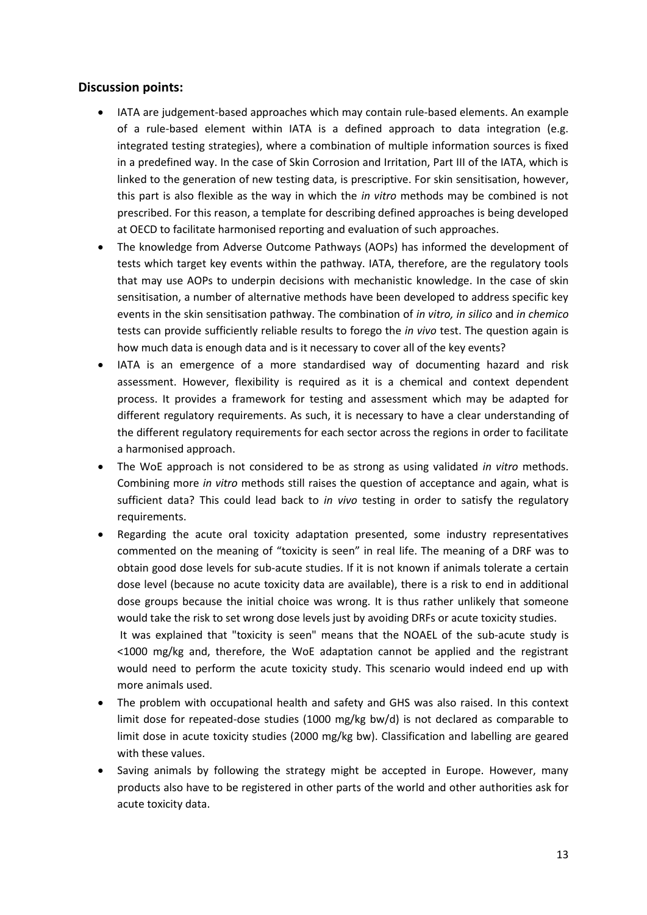#### **Discussion points:**

more animals used.

- IATA are judgement-based approaches which may contain rule-based elements. An example of a rule-based element within IATA is a defined approach to data integration (e.g. integrated testing strategies), where a combination of multiple information sources is fixed in a predefined way. In the case of Skin Corrosion and Irritation, Part III of the IATA, which is linked to the generation of new testing data, is prescriptive. For skin sensitisation, however, this part is also flexible as the way in which the *in vitro* methods may be combined is not prescribed. For this reason, a template for describing defined approaches is being developed at OECD to facilitate harmonised reporting and evaluation of such approaches.
- The knowledge from Adverse Outcome Pathways (AOPs) has informed the development of tests which target key events within the pathway. IATA, therefore, are the regulatory tools that may use AOPs to underpin decisions with mechanistic knowledge. In the case of skin sensitisation, a number of alternative methods have been developed to address specific key events in the skin sensitisation pathway. The combination of *in vitro, in silico* and *in chemico*  tests can provide sufficiently reliable results to forego the *in vivo* test. The question again is how much data is enough data and is it necessary to cover all of the key events?
- IATA is an emergence of a more standardised way of documenting hazard and risk assessment. However, flexibility is required as it is a chemical and context dependent process. It provides a framework for testing and assessment which may be adapted for different regulatory requirements. As such, it is necessary to have a clear understanding of the different regulatory requirements for each sector across the regions in order to facilitate a harmonised approach.
- The WoE approach is not considered to be as strong as using validated *in vitro* methods. Combining more *in vitro* methods still raises the question of acceptance and again, what is sufficient data? This could lead back to *in vivo* testing in order to satisfy the regulatory requirements.
- Regarding the acute oral toxicity adaptation presented, some industry representatives commented on the meaning of "toxicity is seen" in real life. The meaning of a DRF was to obtain good dose levels for sub-acute studies. If it is not known if animals tolerate a certain dose level (because no acute toxicity data are available), there is a risk to end in additional dose groups because the initial choice was wrong. It is thus rather unlikely that someone would take the risk to set wrong dose levels just by avoiding DRFs or acute toxicity studies. It was explained that "toxicity is seen" means that the NOAEL of the sub-acute study is <1000 mg/kg and, therefore, the WoE adaptation cannot be applied and the registrant would need to perform the acute toxicity study. This scenario would indeed end up with
- The problem with occupational health and safety and GHS was also raised. In this context limit dose for repeated-dose studies (1000 mg/kg bw/d) is not declared as comparable to limit dose in acute toxicity studies (2000 mg/kg bw). Classification and labelling are geared with these values.
- Saving animals by following the strategy might be accepted in Europe. However, many products also have to be registered in other parts of the world and other authorities ask for acute toxicity data.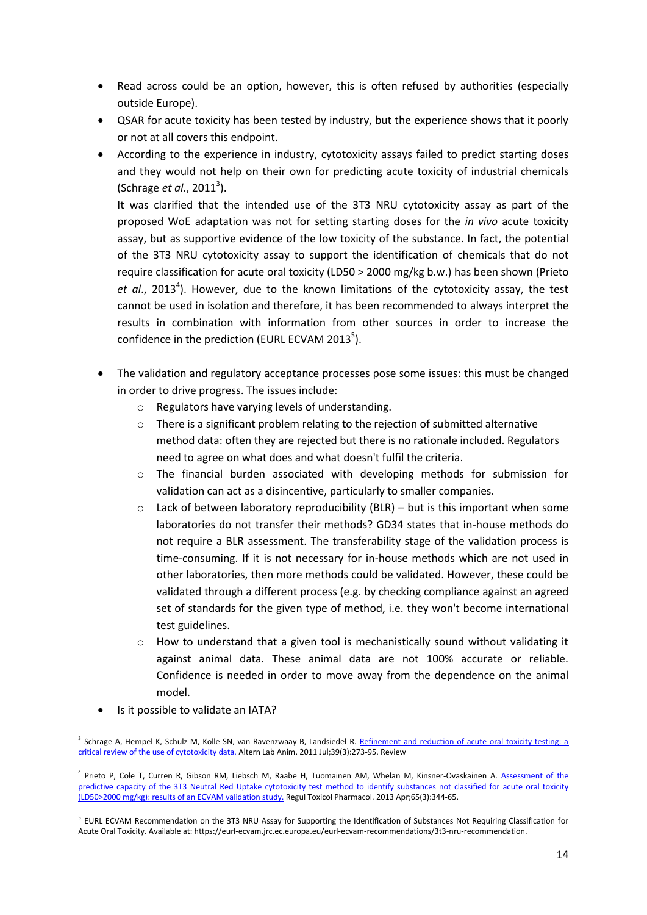- Read across could be an option, however, this is often refused by authorities (especially outside Europe).
- QSAR for acute toxicity has been tested by industry, but the experience shows that it poorly or not at all covers this endpoint.
- According to the experience in industry, cytotoxicity assays failed to predict starting doses and they would not help on their own for predicting acute toxicity of industrial chemicals (Schrage *et al.*, 2011<sup>3</sup>).

It was clarified that the intended use of the 3T3 NRU cytotoxicity assay as part of the proposed WoE adaptation was not for setting starting doses for the *in vivo* acute toxicity assay, but as supportive evidence of the low toxicity of the substance. In fact, the potential of the 3T3 NRU cytotoxicity assay to support the identification of chemicals that do not require classification for acute oral toxicity (LD50 > 2000 mg/kg b.w.) has been shown (Prieto et al., 2013<sup>4</sup>). However, due to the known limitations of the cytotoxicity assay, the test cannot be used in isolation and therefore, it has been recommended to always interpret the results in combination with information from other sources in order to increase the confidence in the prediction (EURL ECVAM 2013 $5$ ).

- The validation and regulatory acceptance processes pose some issues: this must be changed in order to drive progress. The issues include:
	- o Regulators have varying levels of understanding.
	- $\circ$  There is a significant problem relating to the rejection of submitted alternative method data: often they are rejected but there is no rationale included. Regulators need to agree on what does and what doesn't fulfil the criteria.
	- o The financial burden associated with developing methods for submission for validation can act as a disincentive, particularly to smaller companies.
	- $\circ$  Lack of between laboratory reproducibility (BLR) but is this important when some laboratories do not transfer their methods? GD34 states that in-house methods do not require a BLR assessment. The transferability stage of the validation process is time-consuming. If it is not necessary for in-house methods which are not used in other laboratories, then more methods could be validated. However, these could be validated through a different process (e.g. by checking compliance against an agreed set of standards for the given type of method, i.e. they won't become international test guidelines.
	- How to understand that a given tool is mechanistically sound without validating it against animal data. These animal data are not 100% accurate or reliable. Confidence is needed in order to move away from the dependence on the animal model.
- Is it possible to validate an IATA?

**<sup>.</sup>** <sup>3</sup> Schrage A, Hempel K, Schulz M, Kolle SN, van Ravenzwaay B, Landsiedel R. Refinement and reduction of acute oral toxicity testing: a [critical review of the use of cytotoxicity data.](http://www.ncbi.nlm.nih.gov/pubmed/21777041) Altern Lab Anim. 2011 Jul;39(3):273-95. Review

<sup>&</sup>lt;sup>4</sup> Prieto P, Cole T, Curren R, Gibson RM, Liebsch M, Raabe H, Tuomainen AM, Whelan M, Kinsner-Ovaskainen A. Assessment of the [predictive capacity of the 3T3 Neutral Red Uptake cytotoxicity test method to identify substances not classified for acute oral toxicity](http://www.ncbi.nlm.nih.gov/pubmed/23246604)  [\(LD50>2000 mg/kg\): results of an ECVAM validation study.](http://www.ncbi.nlm.nih.gov/pubmed/23246604) Regul Toxicol Pharmacol. 2013 Apr;65(3):344-65.

<sup>&</sup>lt;sup>5</sup> EURL ECVAM Recommendation on the 3T3 NRU Assay for Supporting the Identification of Substances Not Requiring Classification for Acute Oral Toxicity. Available at: https://eurl-ecvam.jrc.ec.europa.eu/eurl-ecvam-recommendations/3t3-nru-recommendation.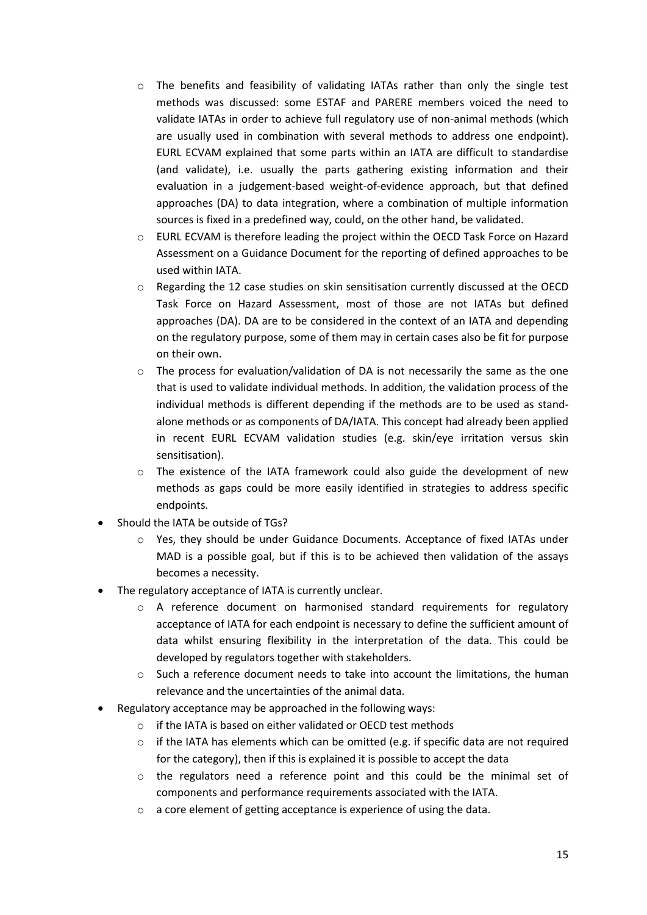- o The benefits and feasibility of validating IATAs rather than only the single test methods was discussed: some ESTAF and PARERE members voiced the need to validate IATAs in order to achieve full regulatory use of non-animal methods (which are usually used in combination with several methods to address one endpoint). EURL ECVAM explained that some parts within an IATA are difficult to standardise (and validate), i.e. usually the parts gathering existing information and their evaluation in a judgement-based weight-of-evidence approach, but that defined approaches (DA) to data integration, where a combination of multiple information sources is fixed in a predefined way, could, on the other hand, be validated.
- o EURL ECVAM is therefore leading the project within the OECD Task Force on Hazard Assessment on a Guidance Document for the reporting of defined approaches to be used within IATA.
- o Regarding the 12 case studies on skin sensitisation currently discussed at the OECD Task Force on Hazard Assessment, most of those are not IATAs but defined approaches (DA). DA are to be considered in the context of an IATA and depending on the regulatory purpose, some of them may in certain cases also be fit for purpose on their own.
- $\circ$  The process for evaluation/validation of DA is not necessarily the same as the one that is used to validate individual methods. In addition, the validation process of the individual methods is different depending if the methods are to be used as standalone methods or as components of DA/IATA. This concept had already been applied in recent EURL ECVAM validation studies (e.g. skin/eye irritation versus skin sensitisation).
- o The existence of the IATA framework could also guide the development of new methods as gaps could be more easily identified in strategies to address specific endpoints.
- Should the IATA be outside of TGs?
	- o Yes, they should be under Guidance Documents. Acceptance of fixed IATAs under MAD is a possible goal, but if this is to be achieved then validation of the assays becomes a necessity.
- The regulatory acceptance of IATA is currently unclear.
	- o A reference document on harmonised standard requirements for regulatory acceptance of IATA for each endpoint is necessary to define the sufficient amount of data whilst ensuring flexibility in the interpretation of the data. This could be developed by regulators together with stakeholders.
	- $\circ$  Such a reference document needs to take into account the limitations, the human relevance and the uncertainties of the animal data.
- Regulatory acceptance may be approached in the following ways:
	- if the IATA is based on either validated or OECD test methods
	- o if the IATA has elements which can be omitted (e.g. if specific data are not required for the category), then if this is explained it is possible to accept the data
	- o the regulators need a reference point and this could be the minimal set of components and performance requirements associated with the IATA.
	- o a core element of getting acceptance is experience of using the data.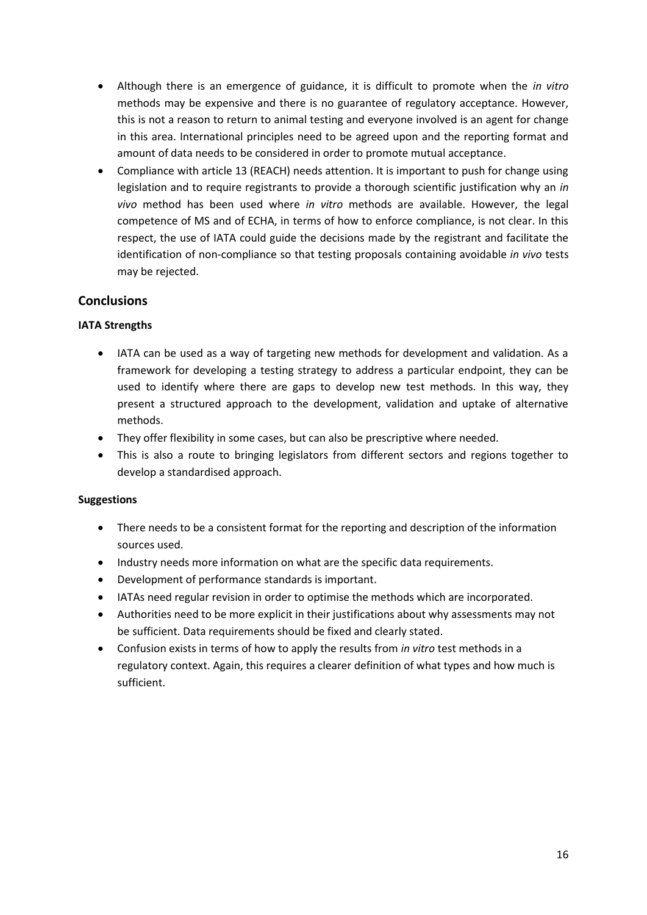- Although there is an emergence of guidance, it is difficult to promote when the *in vitro* methods may be expensive and there is no guarantee of regulatory acceptance. However, this is not a reason to return to animal testing and everyone involved is an agent for change in this area. International principles need to be agreed upon and the reporting format and amount of data needs to be considered in order to promote mutual acceptance.
- Compliance with article 13 (REACH) needs attention. It is important to push for change using legislation and to require registrants to provide a thorough scientific justification why an *in vivo* method has been used where *in vitro* methods are available. However, the legal competence of MS and of ECHA, in terms of how to enforce compliance, is not clear. In this respect, the use of IATA could guide the decisions made by the registrant and facilitate the identification of non-compliance so that testing proposals containing avoidable *in vivo* tests may be rejected.

#### **Conclusions**

#### **IATA Strengths**

- IATA can be used as a way of targeting new methods for development and validation. As a framework for developing a testing strategy to address a particular endpoint, they can be used to identify where there are gaps to develop new test methods. In this way, they present a structured approach to the development, validation and uptake of alternative methods.
- They offer flexibility in some cases, but can also be prescriptive where needed.
- This is also a route to bringing legislators from different sectors and regions together to develop a standardised approach.

#### **Suggestions**

- There needs to be a consistent format for the reporting and description of the information sources used.
- Industry needs more information on what are the specific data requirements.
- Development of performance standards is important.
- IATAs need regular revision in order to optimise the methods which are incorporated.
- Authorities need to be more explicit in their justifications about why assessments may not be sufficient. Data requirements should be fixed and clearly stated.
- Confusion exists in terms of how to apply the results from *in vitro* test methods in a regulatory context. Again, this requires a clearer definition of what types and how much is sufficient.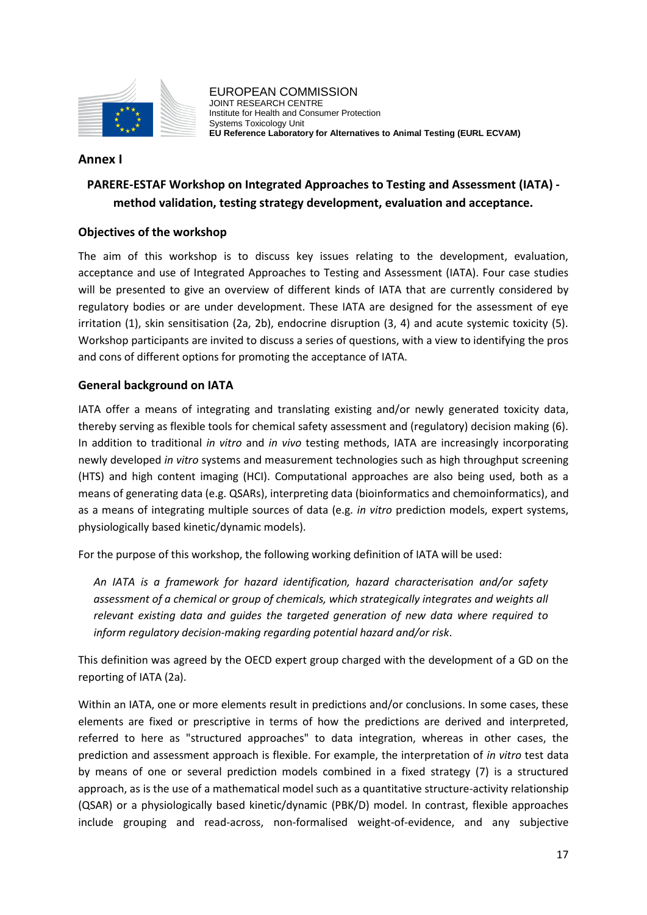

EUROPEAN COMMISSION JOINT RESEARCH CENTRE Institute for Health and Consumer Protection Systems Toxicology Unit **EU Reference Laboratory for Alternatives to Animal Testing (EURL ECVAM)**

#### **Annex I**

## **PARERE-ESTAF Workshop on Integrated Approaches to Testing and Assessment (IATA) method validation, testing strategy development, evaluation and acceptance.**

#### **Objectives of the workshop**

The aim of this workshop is to discuss key issues relating to the development, evaluation, acceptance and use of Integrated Approaches to Testing and Assessment (IATA). Four case studies will be presented to give an overview of different kinds of IATA that are currently considered by regulatory bodies or are under development. These IATA are designed for the assessment of eye irritation (1), skin sensitisation (2a, 2b), endocrine disruption (3, 4) and acute systemic toxicity (5). Workshop participants are invited to discuss a series of questions, with a view to identifying the pros and cons of different options for promoting the acceptance of IATA.

#### **General background on IATA**

IATA offer a means of integrating and translating existing and/or newly generated toxicity data, thereby serving as flexible tools for chemical safety assessment and (regulatory) decision making (6). In addition to traditional *in vitro* and *in vivo* testing methods, IATA are increasingly incorporating newly developed *in vitro* systems and measurement technologies such as high throughput screening (HTS) and high content imaging (HCI). Computational approaches are also being used, both as a means of generating data (e.g. QSARs), interpreting data (bioinformatics and chemoinformatics), and as a means of integrating multiple sources of data (e.g. *in vitro* prediction models, expert systems, physiologically based kinetic/dynamic models).

For the purpose of this workshop, the following working definition of IATA will be used:

*An IATA is a framework for hazard identification, hazard characterisation and/or safety assessment of a chemical or group of chemicals, which strategically integrates and weights all relevant existing data and guides the targeted generation of new data where required to inform regulatory decision-making regarding potential hazard and/or risk*.

This definition was agreed by the OECD expert group charged with the development of a GD on the reporting of IATA (2a).

Within an IATA, one or more elements result in predictions and/or conclusions. In some cases, these elements are fixed or prescriptive in terms of how the predictions are derived and interpreted, referred to here as "structured approaches" to data integration, whereas in other cases, the prediction and assessment approach is flexible. For example, the interpretation of *in vitro* test data by means of one or several prediction models combined in a fixed strategy (7) is a structured approach, as is the use of a mathematical model such as a quantitative structure-activity relationship (QSAR) or a physiologically based kinetic/dynamic (PBK/D) model. In contrast, flexible approaches include grouping and read-across, non-formalised weight-of-evidence, and any subjective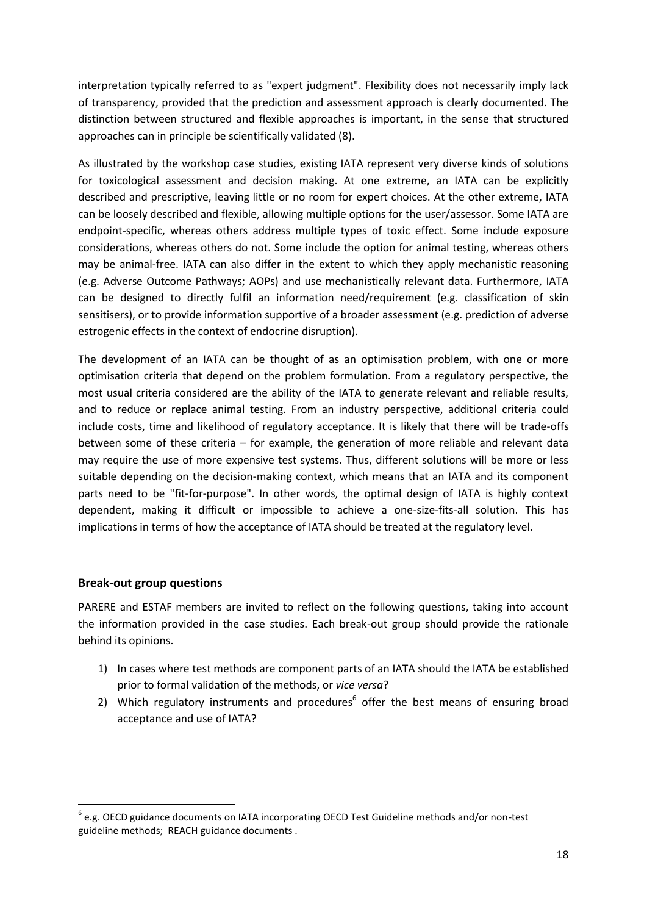interpretation typically referred to as "expert judgment". Flexibility does not necessarily imply lack of transparency, provided that the prediction and assessment approach is clearly documented. The distinction between structured and flexible approaches is important, in the sense that structured approaches can in principle be scientifically validated (8).

As illustrated by the workshop case studies, existing IATA represent very diverse kinds of solutions for toxicological assessment and decision making. At one extreme, an IATA can be explicitly described and prescriptive, leaving little or no room for expert choices. At the other extreme, IATA can be loosely described and flexible, allowing multiple options for the user/assessor. Some IATA are endpoint-specific, whereas others address multiple types of toxic effect. Some include exposure considerations, whereas others do not. Some include the option for animal testing, whereas others may be animal-free. IATA can also differ in the extent to which they apply mechanistic reasoning (e.g. Adverse Outcome Pathways; AOPs) and use mechanistically relevant data. Furthermore, IATA can be designed to directly fulfil an information need/requirement (e.g. classification of skin sensitisers), or to provide information supportive of a broader assessment (e.g. prediction of adverse estrogenic effects in the context of endocrine disruption).

The development of an IATA can be thought of as an optimisation problem, with one or more optimisation criteria that depend on the problem formulation. From a regulatory perspective, the most usual criteria considered are the ability of the IATA to generate relevant and reliable results, and to reduce or replace animal testing. From an industry perspective, additional criteria could include costs, time and likelihood of regulatory acceptance. It is likely that there will be trade-offs between some of these criteria – for example, the generation of more reliable and relevant data may require the use of more expensive test systems. Thus, different solutions will be more or less suitable depending on the decision-making context, which means that an IATA and its component parts need to be "fit-for-purpose". In other words, the optimal design of IATA is highly context dependent, making it difficult or impossible to achieve a one-size-fits-all solution. This has implications in terms of how the acceptance of IATA should be treated at the regulatory level.

#### **Break-out group questions**

1

PARERE and ESTAF members are invited to reflect on the following questions, taking into account the information provided in the case studies. Each break-out group should provide the rationale behind its opinions.

- 1) In cases where test methods are component parts of an IATA should the IATA be established prior to formal validation of the methods, or *vice versa*?
- 2) Which regulatory instruments and procedures<sup>6</sup> offer the best means of ensuring broad acceptance and use of IATA?

<sup>&</sup>lt;sup>6</sup> e.g. OECD guidance documents on IATA incorporating OECD Test Guideline methods and/or non-test guideline methods; REACH guidance documents .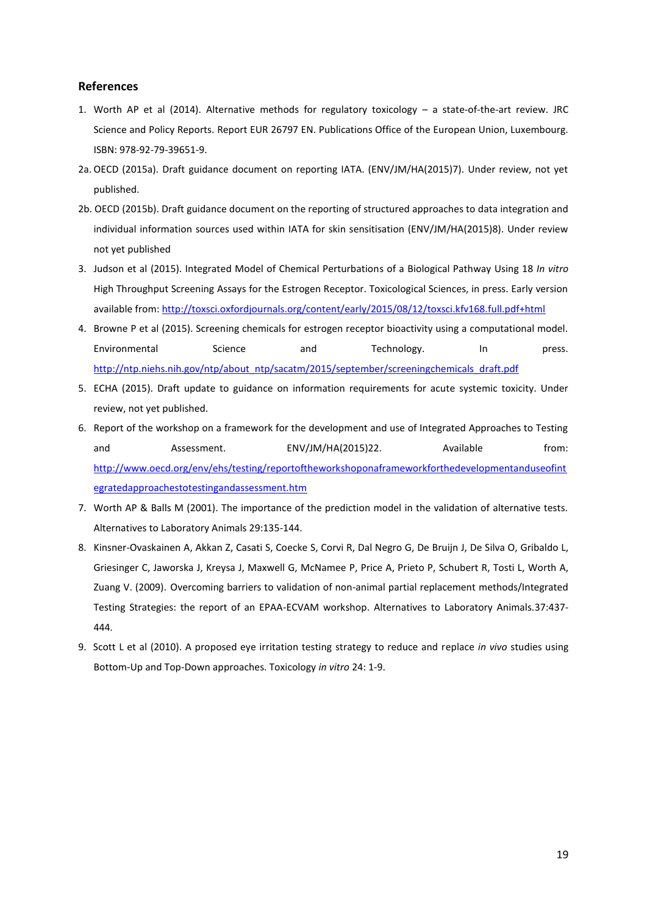#### **References**

- 1. Worth AP et al (2014). Alternative methods for regulatory toxicology a state-of-the-art review. JRC Science and Policy Reports. Report EUR 26797 EN. Publications Office of the European Union, Luxembourg. ISBN: 978-92-79-39651-9.
- 2a. OECD (2015a). Draft guidance document on reporting IATA. (ENV/JM/HA(2015)7). Under review, not yet published.
- 2b. OECD (2015b). Draft guidance document on the reporting of structured approaches to data integration and individual information sources used within IATA for skin sensitisation (ENV/JM/HA(2015)8). Under review not yet published
- 3. Judson et al (2015). Integrated Model of Chemical Perturbations of a Biological Pathway Using 18 *In vitro* High Throughput Screening Assays for the Estrogen Receptor. Toxicological Sciences, in press. Early version available from:<http://toxsci.oxfordjournals.org/content/early/2015/08/12/toxsci.kfv168.full.pdf+html>
- 4. Browne P et al (2015). Screening chemicals for estrogen receptor bioactivity using a computational model. Environmental Science and Technology. In press. [http://ntp.niehs.nih.gov/ntp/about\\_ntp/sacatm/2015/september/screeningchemicals\\_draft.pdf](http://ntp.niehs.nih.gov/ntp/about_ntp/sacatm/2015/september/screeningchemicals_draft.pdf)
- 5. ECHA (2015). Draft update to guidance on information requirements for acute systemic toxicity. Under review, not yet published.
- 6. Report of the workshop on a framework for the development and use of Integrated Approaches to Testing and Assessment. ENV/JM/HA(2015)22. Available from: [http://www.oecd.org/env/ehs/testing/reportoftheworkshoponaframeworkforthedevelopmentanduseofint](http://www.oecd.org/env/ehs/testing/reportoftheworkshoponaframeworkforthedevelopmentanduseofintegratedapproachestotestingandassessment.htm) [egratedapproachestotestingandassessment.htm](http://www.oecd.org/env/ehs/testing/reportoftheworkshoponaframeworkforthedevelopmentanduseofintegratedapproachestotestingandassessment.htm)
- 7. Worth AP & Balls M (2001). The importance of the prediction model in the validation of alternative tests. Alternatives to Laboratory Animals 29:135-144.
- 8. [Kinsner-Ovaskainen A,](http://www.ncbi.nlm.nih.gov/pubmed/?term=Kinsner-Ovaskainen%20A%5BAuthor%5D&cauthor=true&cauthor_uid=19807215) [Akkan Z,](http://www.ncbi.nlm.nih.gov/pubmed/?term=Akkan%20Z%5BAuthor%5D&cauthor=true&cauthor_uid=19807215) [Casati S,](http://www.ncbi.nlm.nih.gov/pubmed/?term=Casati%20S%5BAuthor%5D&cauthor=true&cauthor_uid=19807215) [Coecke S,](http://www.ncbi.nlm.nih.gov/pubmed/?term=Coecke%20S%5BAuthor%5D&cauthor=true&cauthor_uid=19807215) [Corvi R,](http://www.ncbi.nlm.nih.gov/pubmed/?term=Corvi%20R%5BAuthor%5D&cauthor=true&cauthor_uid=19807215) [Dal Negro G,](http://www.ncbi.nlm.nih.gov/pubmed/?term=Dal%20Negro%20G%5BAuthor%5D&cauthor=true&cauthor_uid=19807215) [De Bruijn J,](http://www.ncbi.nlm.nih.gov/pubmed/?term=De%20Bruijn%20J%5BAuthor%5D&cauthor=true&cauthor_uid=19807215) [De Silva O,](http://www.ncbi.nlm.nih.gov/pubmed/?term=De%20Silva%20O%5BAuthor%5D&cauthor=true&cauthor_uid=19807215) [Gribaldo L,](http://www.ncbi.nlm.nih.gov/pubmed/?term=Gribaldo%20L%5BAuthor%5D&cauthor=true&cauthor_uid=19807215) [Griesinger C,](http://www.ncbi.nlm.nih.gov/pubmed/?term=Griesinger%20C%5BAuthor%5D&cauthor=true&cauthor_uid=19807215) [Jaworska J,](http://www.ncbi.nlm.nih.gov/pubmed/?term=Jaworska%20J%5BAuthor%5D&cauthor=true&cauthor_uid=19807215) [Kreysa J,](http://www.ncbi.nlm.nih.gov/pubmed/?term=Kreysa%20J%5BAuthor%5D&cauthor=true&cauthor_uid=19807215) [Maxwell G,](http://www.ncbi.nlm.nih.gov/pubmed/?term=Maxwell%20G%5BAuthor%5D&cauthor=true&cauthor_uid=19807215) [McNamee P,](http://www.ncbi.nlm.nih.gov/pubmed/?term=McNamee%20P%5BAuthor%5D&cauthor=true&cauthor_uid=19807215) [Price A,](http://www.ncbi.nlm.nih.gov/pubmed/?term=Price%20A%5BAuthor%5D&cauthor=true&cauthor_uid=19807215) [Prieto P,](http://www.ncbi.nlm.nih.gov/pubmed/?term=Prieto%20P%5BAuthor%5D&cauthor=true&cauthor_uid=19807215) [Schubert R,](http://www.ncbi.nlm.nih.gov/pubmed/?term=Schubert%20R%5BAuthor%5D&cauthor=true&cauthor_uid=19807215) [Tosti L,](http://www.ncbi.nlm.nih.gov/pubmed/?term=Tosti%20L%5BAuthor%5D&cauthor=true&cauthor_uid=19807215) [Worth A,](http://www.ncbi.nlm.nih.gov/pubmed/?term=Worth%20A%5BAuthor%5D&cauthor=true&cauthor_uid=19807215) [Zuang V.](http://www.ncbi.nlm.nih.gov/pubmed/?term=Zuang%20V%5BAuthor%5D&cauthor=true&cauthor_uid=19807215) (2009). Overcoming barriers to validation of non-animal partial replacement methods/Integrated Testing Strategies: the report of an EPAA-ECVAM workshop. [Alternatives to Laboratory Animals.3](http://www.ncbi.nlm.nih.gov/pubmed/19807215)7:437- 444.
- 9. Scott L et al (2010). A proposed eye irritation testing strategy to reduce and replace *in vivo* studies using Bottom-Up and Top-Down approaches. Toxicology *in vitro* 24: 1-9.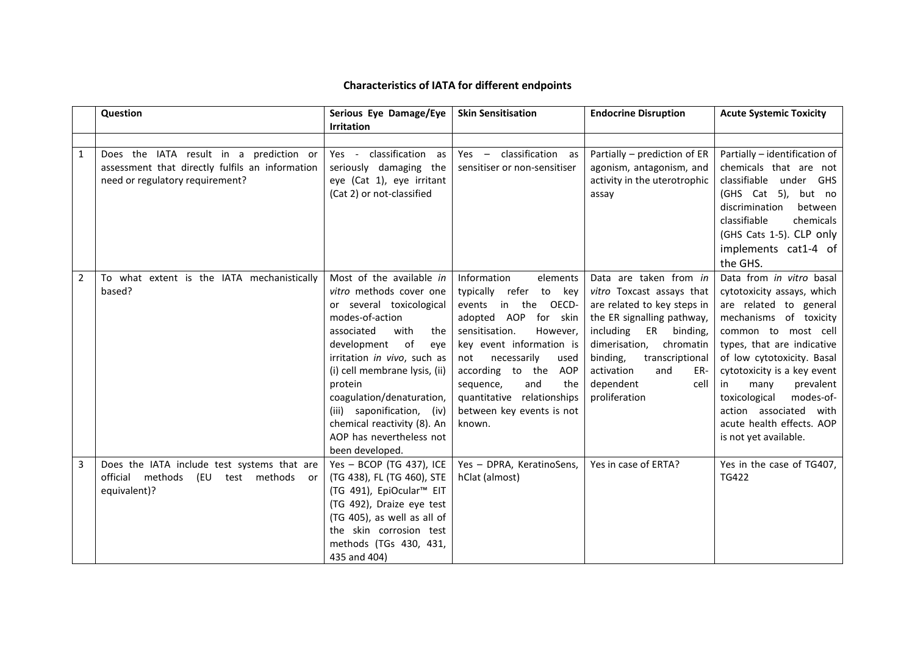## **Characteristics of IATA for different endpoints**

|   | Question                                                                                                                      | Serious Eye Damage/Eye<br><b>Irritation</b>                                                                                                                                                                                                                                                                                                                                     | <b>Skin Sensitisation</b>                                                                                                                                                                                                                                                                                                    | <b>Endocrine Disruption</b>                                                                                                                                                                                                                                           | <b>Acute Systemic Toxicity</b>                                                                                                                                                                                                                                                                                                                                        |
|---|-------------------------------------------------------------------------------------------------------------------------------|---------------------------------------------------------------------------------------------------------------------------------------------------------------------------------------------------------------------------------------------------------------------------------------------------------------------------------------------------------------------------------|------------------------------------------------------------------------------------------------------------------------------------------------------------------------------------------------------------------------------------------------------------------------------------------------------------------------------|-----------------------------------------------------------------------------------------------------------------------------------------------------------------------------------------------------------------------------------------------------------------------|-----------------------------------------------------------------------------------------------------------------------------------------------------------------------------------------------------------------------------------------------------------------------------------------------------------------------------------------------------------------------|
| 1 | Does the IATA result in a prediction or<br>assessment that directly fulfils an information<br>need or regulatory requirement? | Yes - classification as<br>seriously damaging the<br>eye (Cat 1), eye irritant<br>(Cat 2) or not-classified                                                                                                                                                                                                                                                                     | Yes - classification as<br>sensitiser or non-sensitiser                                                                                                                                                                                                                                                                      | Partially - prediction of ER<br>agonism, antagonism, and<br>activity in the uterotrophic<br>assay                                                                                                                                                                     | Partially - identification of<br>chemicals that are not<br>classifiable<br>under GHS<br>(GHS Cat 5),<br>but no<br>discrimination<br>between<br>classifiable<br>chemicals<br>(GHS Cats 1-5). CLP only<br>implements cat1-4 of<br>the GHS.                                                                                                                              |
| 2 | To what extent is the IATA mechanistically<br>based?                                                                          | Most of the available in<br>vitro methods cover one<br>or several toxicological<br>modes-of-action<br>associated<br>with<br>the<br>development<br>of<br>eye<br>irritation in vivo, such as<br>(i) cell membrane lysis, (ii)<br>protein<br>coagulation/denaturation,<br>(iii) saponification, (iv)<br>chemical reactivity (8). An<br>AOP has nevertheless not<br>been developed. | Information<br>elements<br>typically<br>refer to<br>key<br>events<br>in the<br>OECD-<br>adopted AOP for skin<br>sensitisation.<br>However,<br>key event information is<br>necessarily<br>not<br>used<br>according to the AOP<br>and<br>sequence,<br>the<br>quantitative relationships<br>between key events is not<br>known. | Data are taken from in<br>vitro Toxcast assays that<br>are related to key steps in<br>the ER signalling pathway,<br>including ER binding,<br>dimerisation, chromatin<br>binding,<br>transcriptional<br>activation<br>and<br>ER-<br>dependent<br>cell<br>proliferation | Data from in vitro basal<br>cytotoxicity assays, which<br>are related to general<br>mechanisms of toxicity<br>common to most cell<br>types, that are indicative<br>of low cytotoxicity. Basal<br>cytotoxicity is a key event<br>many<br>prevalent<br>in<br>toxicological<br>modes-of-<br>action associated with<br>acute health effects. AOP<br>is not yet available. |
| 3 | Does the IATA include test systems that are<br>official methods (EU test methods or<br>equivalent)?                           | Yes - BCOP (TG 437), ICE<br>(TG 438), FL (TG 460), STE<br>(TG 491), EpiOcular <sup>™</sup> EIT<br>(TG 492), Draize eye test<br>(TG 405), as well as all of<br>the skin corrosion test<br>methods (TGs 430, 431,<br>435 and 404)                                                                                                                                                 | Yes - DPRA, KeratinoSens,<br>hClat (almost)                                                                                                                                                                                                                                                                                  | Yes in case of ERTA?                                                                                                                                                                                                                                                  | Yes in the case of TG407,<br><b>TG422</b>                                                                                                                                                                                                                                                                                                                             |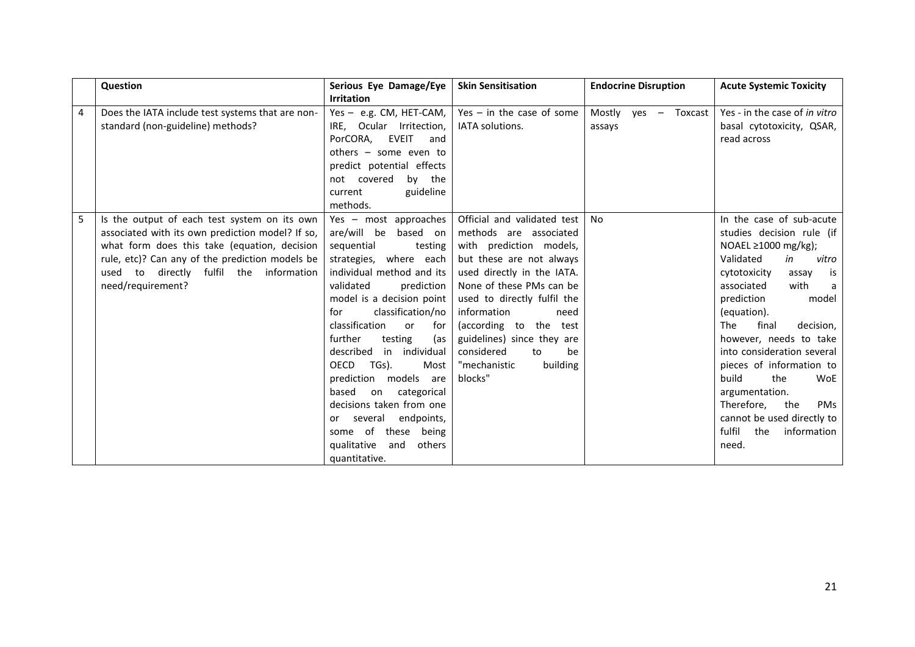|   | Question                                                                                                                                                                                                                                                            | Serious Eye Damage/Eye<br><b>Irritation</b>                                                                                                                                                                                                                                                                                                                                                                                                                                                                                              | <b>Skin Sensitisation</b>                                                                                                                                                                                                                                                                                                                             | <b>Endocrine Disruption</b>      | <b>Acute Systemic Toxicity</b>                                                                                                                                                                                                                                                                                                                                                                                                                                        |
|---|---------------------------------------------------------------------------------------------------------------------------------------------------------------------------------------------------------------------------------------------------------------------|------------------------------------------------------------------------------------------------------------------------------------------------------------------------------------------------------------------------------------------------------------------------------------------------------------------------------------------------------------------------------------------------------------------------------------------------------------------------------------------------------------------------------------------|-------------------------------------------------------------------------------------------------------------------------------------------------------------------------------------------------------------------------------------------------------------------------------------------------------------------------------------------------------|----------------------------------|-----------------------------------------------------------------------------------------------------------------------------------------------------------------------------------------------------------------------------------------------------------------------------------------------------------------------------------------------------------------------------------------------------------------------------------------------------------------------|
| 4 | Does the IATA include test systems that are non-<br>standard (non-guideline) methods?                                                                                                                                                                               | Yes - e.g. CM, HET-CAM,<br>IRE, Ocular Irritection,<br>PorCORA,<br><b>EVEIT</b><br>and<br>others - some even to<br>predict potential effects<br>not covered<br>by the<br>guideline<br>current<br>methods.                                                                                                                                                                                                                                                                                                                                | Yes $-$ in the case of some<br>IATA solutions.                                                                                                                                                                                                                                                                                                        | Mostly yes $-$ Toxcast<br>assays | Yes - in the case of in vitro<br>basal cytotoxicity, QSAR,<br>read across                                                                                                                                                                                                                                                                                                                                                                                             |
| 5 | Is the output of each test system on its own<br>associated with its own prediction model? If so,<br>what form does this take (equation, decision<br>rule, etc)? Can any of the prediction models be<br>used to directly fulfil the information<br>need/requirement? | Yes - most approaches<br>are/will be<br>based on<br>sequential<br>testing<br>strategies, where each<br>individual method and its<br>validated<br>prediction<br>model is a decision point<br>classification/no<br>for<br>classification<br><b>or</b><br>for<br>further<br>testing<br>(as<br>described in individual<br>OECD<br>TGs).<br>Most<br>prediction models are<br>based<br>categorical<br>on<br>decisions taken from one<br>endpoints,<br>or several<br>of<br>these being<br>some<br>qualitative<br>and<br>others<br>quantitative. | Official and validated test<br>methods are associated<br>with prediction models,<br>but these are not always<br>used directly in the IATA.<br>None of these PMs can be<br>used to directly fulfil the<br>information<br>need<br>(according to the test<br>guidelines) since they are<br>considered<br>to<br>be<br>building<br>"mechanistic<br>blocks" | <b>No</b>                        | In the case of sub-acute<br>studies decision rule (if<br>NOAEL ≥1000 mg/kg);<br>Validated<br>in<br>vitro<br>is<br>cytotoxicity<br>assay<br>with<br>associated<br>a<br>prediction<br>model<br>(equation).<br>final<br>The<br>decision,<br>however, needs to take<br>into consideration several<br>pieces of information to<br>build<br>the<br>WoE<br>argumentation.<br>Therefore,<br>the<br>PMs<br>cannot be used directly to<br>fulfil<br>the<br>information<br>need. |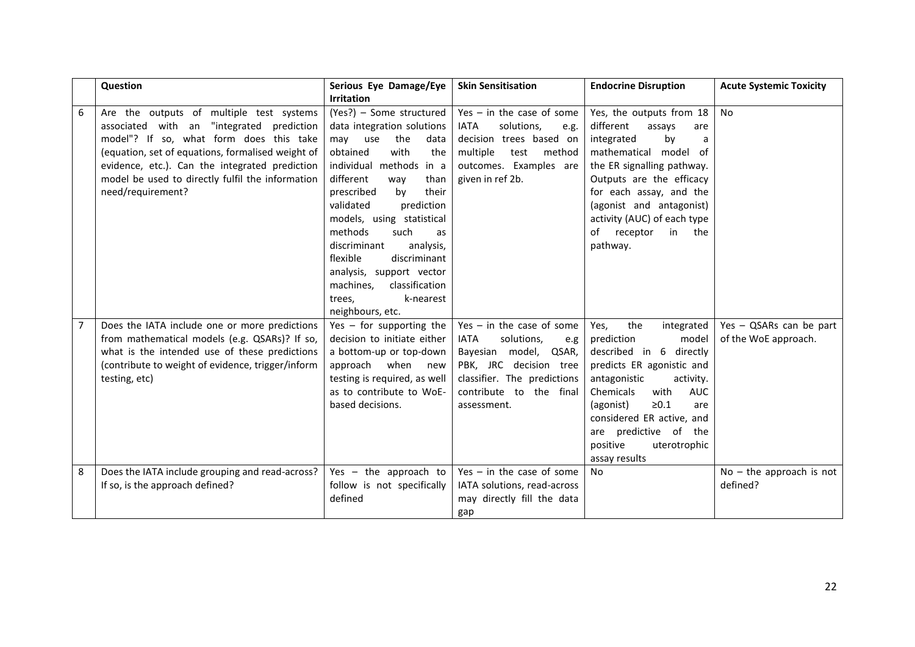|   | Question                                                                                                                                                                                                                                                                                                            | Serious Eye Damage/Eye                                                                                                                                                                                                                                                                                                                                                                                                           | <b>Skin Sensitisation</b>                                                                                                                                                                      | <b>Endocrine Disruption</b>                                                                                                                                                                                                                                                                                   | <b>Acute Systemic Toxicity</b>                  |
|---|---------------------------------------------------------------------------------------------------------------------------------------------------------------------------------------------------------------------------------------------------------------------------------------------------------------------|----------------------------------------------------------------------------------------------------------------------------------------------------------------------------------------------------------------------------------------------------------------------------------------------------------------------------------------------------------------------------------------------------------------------------------|------------------------------------------------------------------------------------------------------------------------------------------------------------------------------------------------|---------------------------------------------------------------------------------------------------------------------------------------------------------------------------------------------------------------------------------------------------------------------------------------------------------------|-------------------------------------------------|
|   |                                                                                                                                                                                                                                                                                                                     | <b>Irritation</b>                                                                                                                                                                                                                                                                                                                                                                                                                |                                                                                                                                                                                                |                                                                                                                                                                                                                                                                                                               |                                                 |
| 6 | Are the outputs of multiple test systems<br>"integrated prediction<br>associated with an<br>model"? If so, what form does this take<br>(equation, set of equations, formalised weight of<br>evidence, etc.). Can the integrated prediction<br>model be used to directly fulfil the information<br>need/requirement? | $(Yes?)$ – Some structured<br>data integration solutions<br>the<br>may<br>use<br>data<br>with<br>obtained<br>the<br>individual methods in a<br>different<br>than<br>way<br>prescribed<br>their<br>by<br>validated<br>prediction<br>models, using statistical<br>methods<br>such<br>as<br>discriminant<br>analysis,<br>flexible<br>discriminant<br>analysis, support vector<br>classification<br>machines,<br>trees,<br>k-nearest | Yes $-$ in the case of some<br><b>IATA</b><br>solutions,<br>e.g.<br>decision trees based on<br>multiple<br>test<br>method<br>outcomes. Examples are<br>given in ref 2b.                        | Yes, the outputs from 18<br>different<br>assays<br>are<br>integrated<br>by<br>a<br>mathematical model of<br>the ER signalling pathway.<br>Outputs are the efficacy<br>for each assay, and the<br>(agonist and antagonist)<br>activity (AUC) of each type<br>of<br>receptor<br>in the<br>pathway.              | No                                              |
| 7 | Does the IATA include one or more predictions<br>from mathematical models (e.g. QSARs)? If so,<br>what is the intended use of these predictions<br>(contribute to weight of evidence, trigger/inform<br>testing, etc)                                                                                               | neighbours, etc.<br>Yes $-$ for supporting the<br>decision to initiate either<br>a bottom-up or top-down<br>approach when<br>new<br>testing is required, as well<br>as to contribute to WoE-<br>based decisions.                                                                                                                                                                                                                 | Yes $-$ in the case of some<br>solutions,<br><b>IATA</b><br>e.g<br>Bayesian model,<br>QSAR,<br>PBK, JRC decision tree<br>classifier. The predictions<br>contribute to the final<br>assessment. | the<br>Yes,<br>integrated<br>prediction<br>model<br>described in 6 directly<br>predicts ER agonistic and<br>antagonistic<br>activity.<br>Chemicals<br>with<br><b>AUC</b><br>(agonist)<br>$\geq 0.1$<br>are<br>considered ER active, and<br>are predictive of the<br>positive<br>uterotrophic<br>assay results | Yes - QSARs can be part<br>of the WoE approach. |
| 8 | Does the IATA include grouping and read-across?<br>If so, is the approach defined?                                                                                                                                                                                                                                  | Yes $-$ the approach to<br>follow is not specifically<br>defined                                                                                                                                                                                                                                                                                                                                                                 | Yes $-$ in the case of some<br>IATA solutions, read-across<br>may directly fill the data<br>gap                                                                                                | <b>No</b>                                                                                                                                                                                                                                                                                                     | $No$ – the approach is not<br>defined?          |